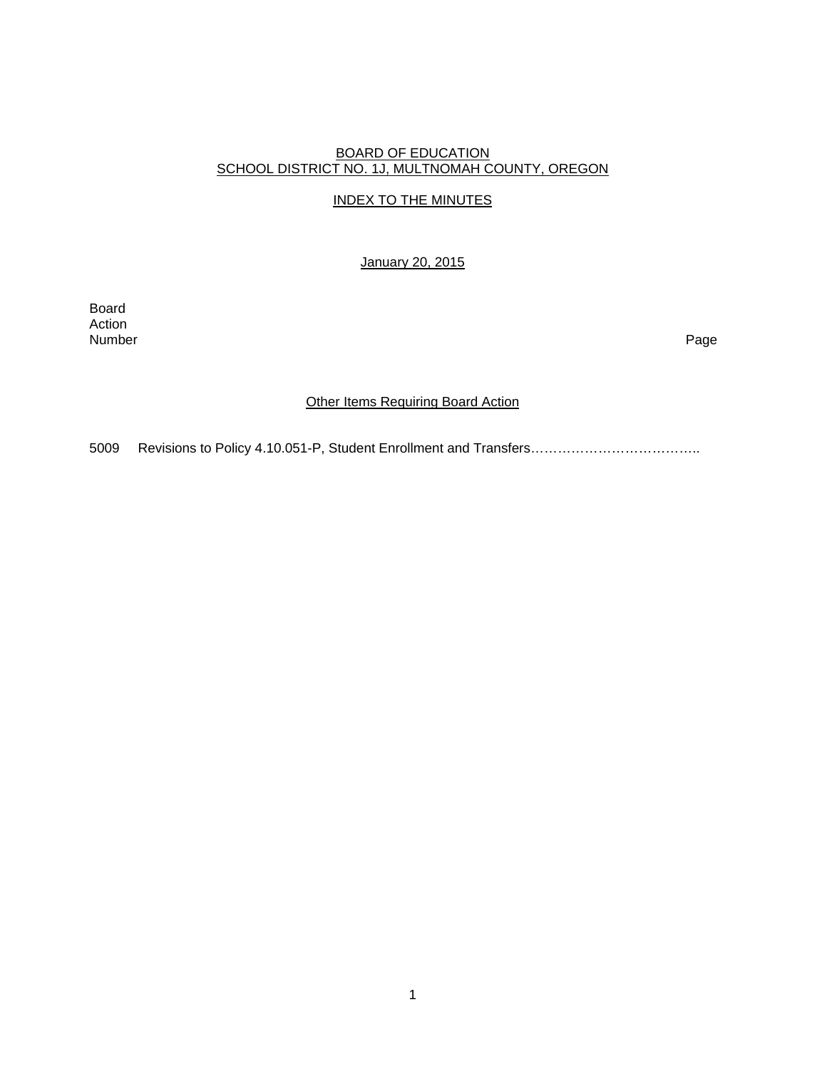### BOARD OF EDUCATION SCHOOL DISTRICT NO. 1J, MULTNOMAH COUNTY, OREGON

## INDEX TO THE MINUTES

January 20, 2015

Board Action<br>Number Number Page

## **Other Items Requiring Board Action**

5009 Revisions to Policy 4.10.051-P, Student Enrollment and Transfers………………………………..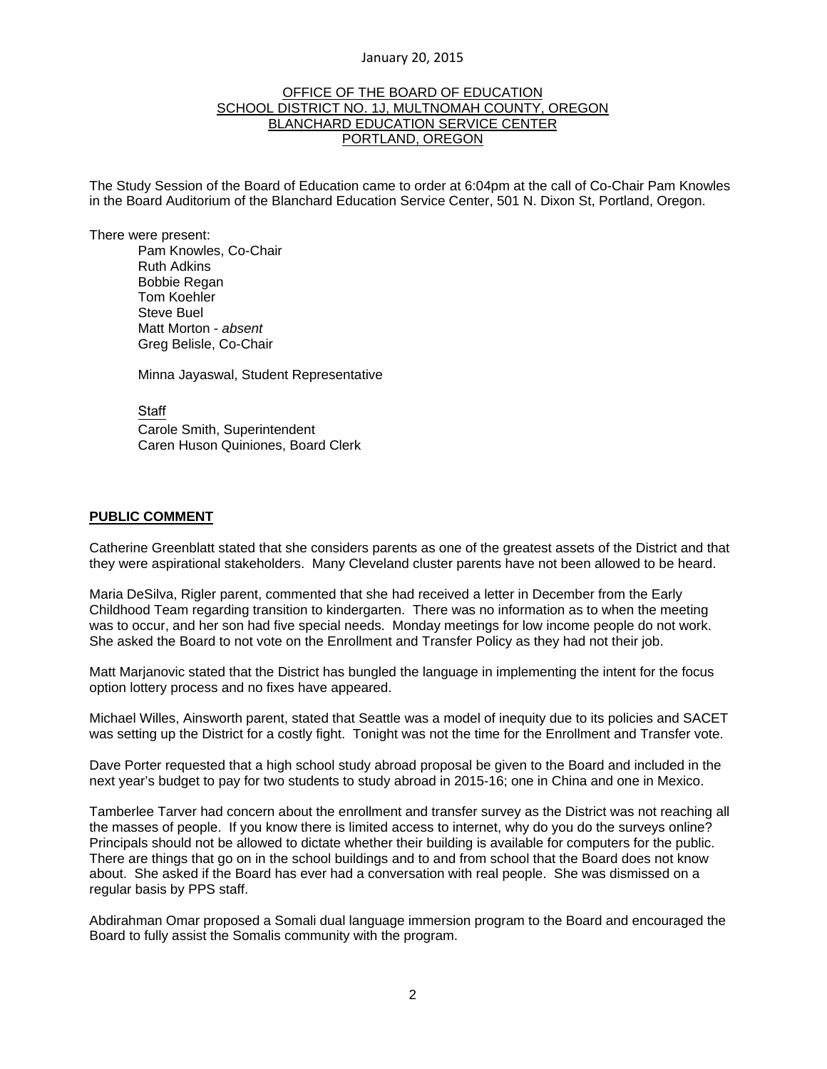#### January 20, 2015

#### OFFICE OF THE BOARD OF EDUCATION SCHOOL DISTRICT NO. 1J, MULTNOMAH COUNTY, OREGON BLANCHARD EDUCATION SERVICE CENTER PORTLAND, OREGON

The Study Session of the Board of Education came to order at 6:04pm at the call of Co-Chair Pam Knowles in the Board Auditorium of the Blanchard Education Service Center, 501 N. Dixon St, Portland, Oregon.

There were present: Pam Knowles, Co-Chair Ruth Adkins Bobbie Regan Tom Koehler Steve Buel Matt Morton - *absent*  Greg Belisle, Co-Chair

Minna Jayaswal, Student Representative

**Staff** 

 Carole Smith, Superintendent Caren Huson Quiniones, Board Clerk

### **PUBLIC COMMENT**

Catherine Greenblatt stated that she considers parents as one of the greatest assets of the District and that they were aspirational stakeholders. Many Cleveland cluster parents have not been allowed to be heard.

Maria DeSilva, Rigler parent, commented that she had received a letter in December from the Early Childhood Team regarding transition to kindergarten. There was no information as to when the meeting was to occur, and her son had five special needs. Monday meetings for low income people do not work. She asked the Board to not vote on the Enrollment and Transfer Policy as they had not their job.

Matt Marjanovic stated that the District has bungled the language in implementing the intent for the focus option lottery process and no fixes have appeared.

Michael Willes, Ainsworth parent, stated that Seattle was a model of inequity due to its policies and SACET was setting up the District for a costly fight. Tonight was not the time for the Enrollment and Transfer vote.

Dave Porter requested that a high school study abroad proposal be given to the Board and included in the next year's budget to pay for two students to study abroad in 2015-16; one in China and one in Mexico.

Tamberlee Tarver had concern about the enrollment and transfer survey as the District was not reaching all the masses of people. If you know there is limited access to internet, why do you do the surveys online? Principals should not be allowed to dictate whether their building is available for computers for the public. There are things that go on in the school buildings and to and from school that the Board does not know about. She asked if the Board has ever had a conversation with real people. She was dismissed on a regular basis by PPS staff.

Abdirahman Omar proposed a Somali dual language immersion program to the Board and encouraged the Board to fully assist the Somalis community with the program.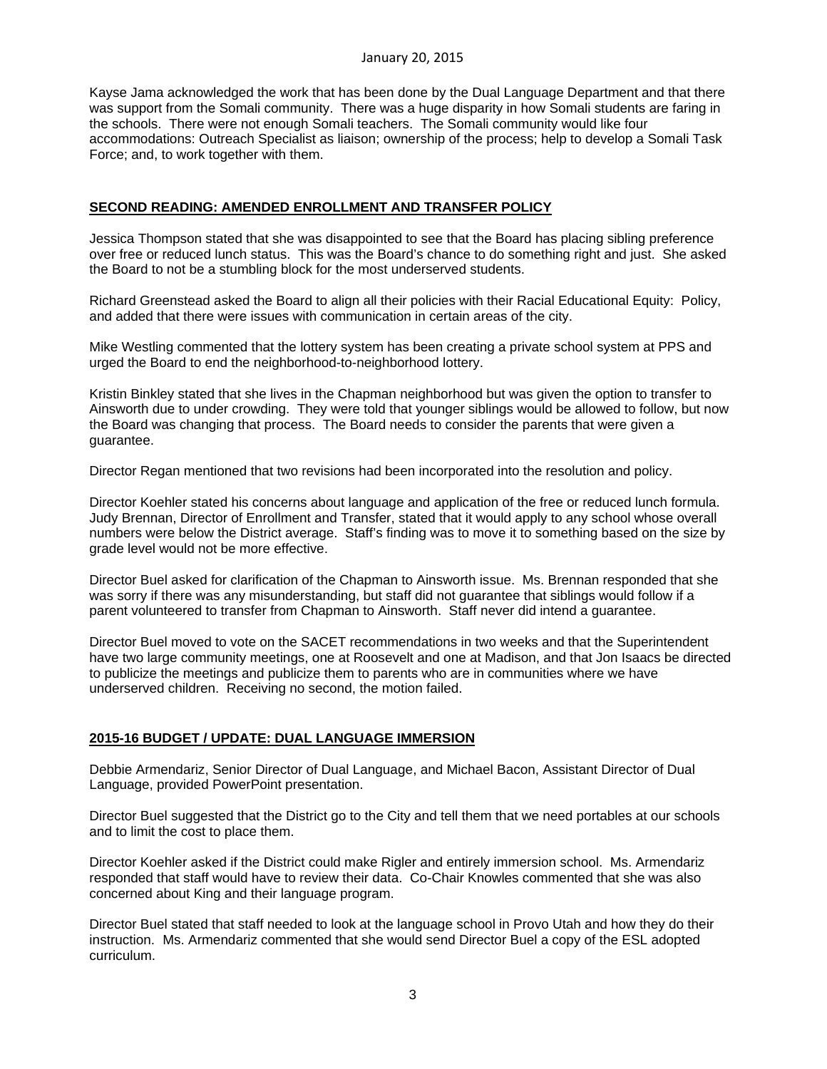Kayse Jama acknowledged the work that has been done by the Dual Language Department and that there was support from the Somali community. There was a huge disparity in how Somali students are faring in the schools. There were not enough Somali teachers. The Somali community would like four accommodations: Outreach Specialist as liaison; ownership of the process; help to develop a Somali Task Force; and, to work together with them.

### **SECOND READING: AMENDED ENROLLMENT AND TRANSFER POLICY**

Jessica Thompson stated that she was disappointed to see that the Board has placing sibling preference over free or reduced lunch status. This was the Board's chance to do something right and just. She asked the Board to not be a stumbling block for the most underserved students.

Richard Greenstead asked the Board to align all their policies with their Racial Educational Equity: Policy, and added that there were issues with communication in certain areas of the city.

Mike Westling commented that the lottery system has been creating a private school system at PPS and urged the Board to end the neighborhood-to-neighborhood lottery.

Kristin Binkley stated that she lives in the Chapman neighborhood but was given the option to transfer to Ainsworth due to under crowding. They were told that younger siblings would be allowed to follow, but now the Board was changing that process. The Board needs to consider the parents that were given a guarantee.

Director Regan mentioned that two revisions had been incorporated into the resolution and policy.

Director Koehler stated his concerns about language and application of the free or reduced lunch formula. Judy Brennan, Director of Enrollment and Transfer, stated that it would apply to any school whose overall numbers were below the District average. Staff's finding was to move it to something based on the size by grade level would not be more effective.

Director Buel asked for clarification of the Chapman to Ainsworth issue. Ms. Brennan responded that she was sorry if there was any misunderstanding, but staff did not guarantee that siblings would follow if a parent volunteered to transfer from Chapman to Ainsworth. Staff never did intend a guarantee.

Director Buel moved to vote on the SACET recommendations in two weeks and that the Superintendent have two large community meetings, one at Roosevelt and one at Madison, and that Jon Isaacs be directed to publicize the meetings and publicize them to parents who are in communities where we have underserved children. Receiving no second, the motion failed.

# **2015-16 BUDGET / UPDATE: DUAL LANGUAGE IMMERSION**

Debbie Armendariz, Senior Director of Dual Language, and Michael Bacon, Assistant Director of Dual Language, provided PowerPoint presentation.

Director Buel suggested that the District go to the City and tell them that we need portables at our schools and to limit the cost to place them.

Director Koehler asked if the District could make Rigler and entirely immersion school. Ms. Armendariz responded that staff would have to review their data. Co-Chair Knowles commented that she was also concerned about King and their language program.

Director Buel stated that staff needed to look at the language school in Provo Utah and how they do their instruction. Ms. Armendariz commented that she would send Director Buel a copy of the ESL adopted curriculum.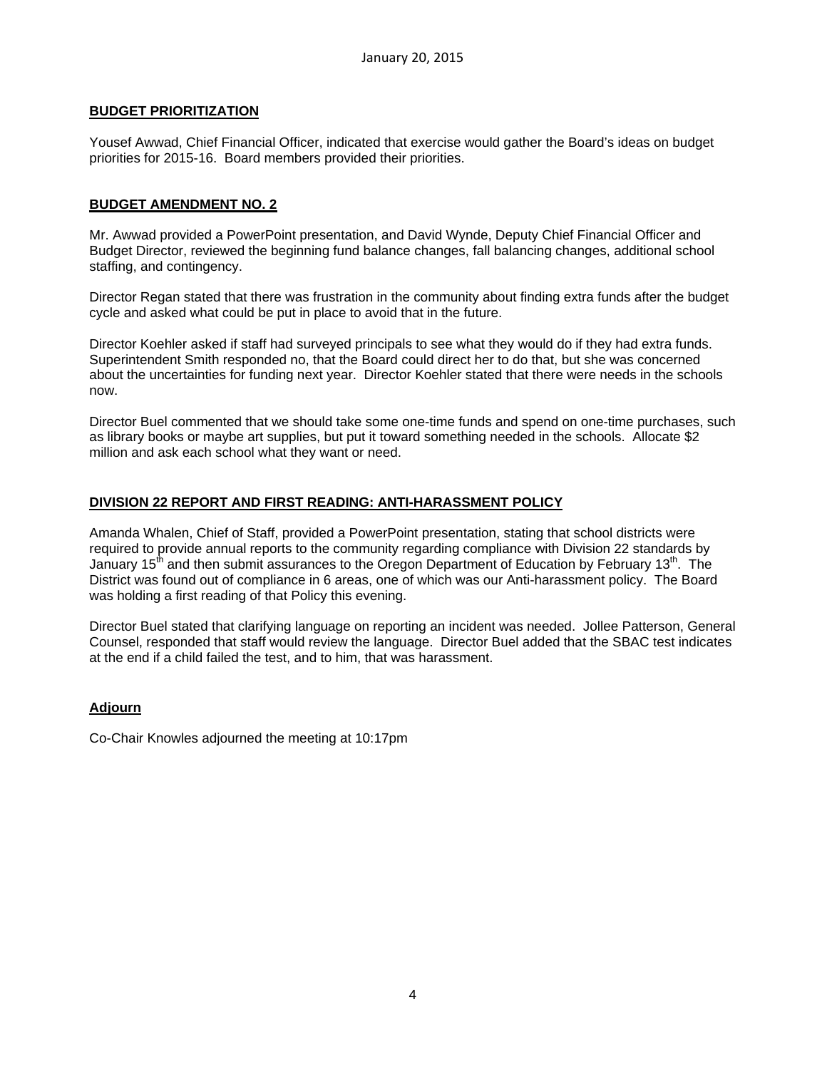#### **BUDGET PRIORITIZATION**

Yousef Awwad, Chief Financial Officer, indicated that exercise would gather the Board's ideas on budget priorities for 2015-16. Board members provided their priorities.

### **BUDGET AMENDMENT NO. 2**

Mr. Awwad provided a PowerPoint presentation, and David Wynde, Deputy Chief Financial Officer and Budget Director, reviewed the beginning fund balance changes, fall balancing changes, additional school staffing, and contingency.

Director Regan stated that there was frustration in the community about finding extra funds after the budget cycle and asked what could be put in place to avoid that in the future.

Director Koehler asked if staff had surveyed principals to see what they would do if they had extra funds. Superintendent Smith responded no, that the Board could direct her to do that, but she was concerned about the uncertainties for funding next year. Director Koehler stated that there were needs in the schools now.

Director Buel commented that we should take some one-time funds and spend on one-time purchases, such as library books or maybe art supplies, but put it toward something needed in the schools. Allocate \$2 million and ask each school what they want or need.

### **DIVISION 22 REPORT AND FIRST READING: ANTI-HARASSMENT POLICY**

Amanda Whalen, Chief of Staff, provided a PowerPoint presentation, stating that school districts were required to provide annual reports to the community regarding compliance with Division 22 standards by January 15<sup>th</sup> and then submit assurances to the Oregon Department of Education by February 13<sup>th</sup>. The District was found out of compliance in 6 areas, one of which was our Anti-harassment policy. The Board was holding a first reading of that Policy this evening.

Director Buel stated that clarifying language on reporting an incident was needed. Jollee Patterson, General Counsel, responded that staff would review the language. Director Buel added that the SBAC test indicates at the end if a child failed the test, and to him, that was harassment.

#### **Adjourn**

Co-Chair Knowles adjourned the meeting at 10:17pm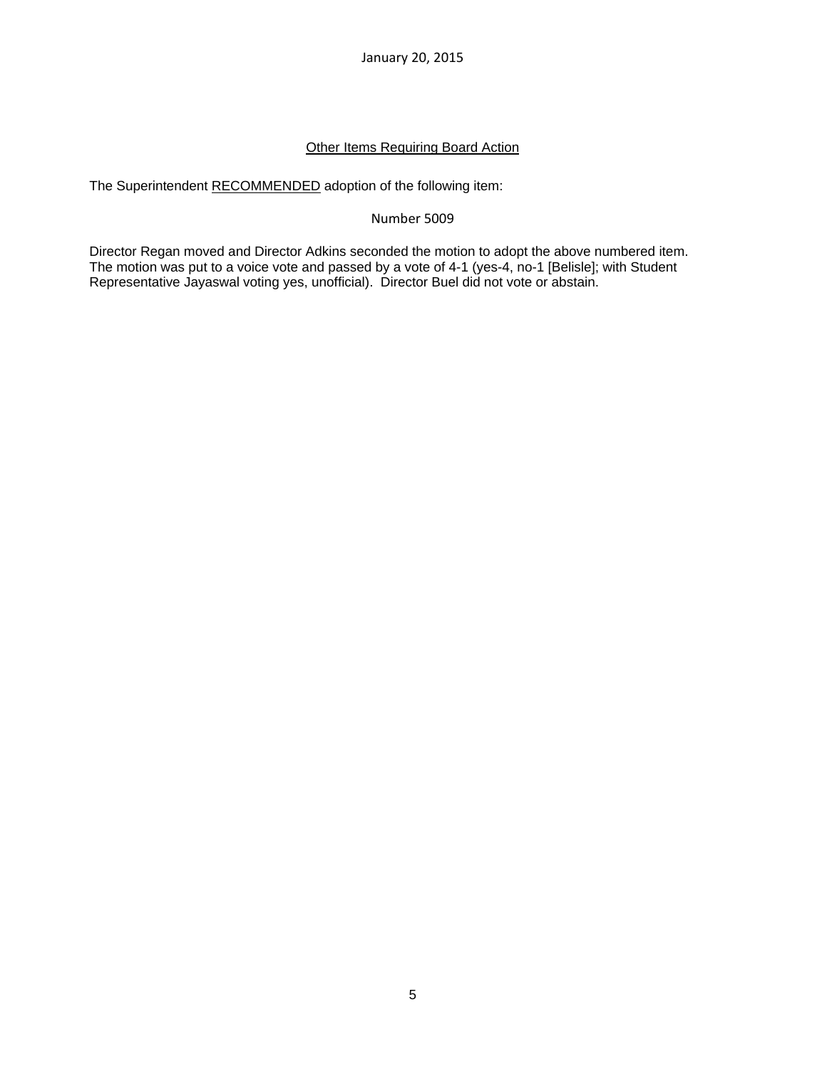January 20, 2015

## **Other Items Requiring Board Action**

The Superintendent RECOMMENDED adoption of the following item:

### Number 5009

Director Regan moved and Director Adkins seconded the motion to adopt the above numbered item. The motion was put to a voice vote and passed by a vote of 4-1 (yes-4, no-1 [Belisle]; with Student Representative Jayaswal voting yes, unofficial). Director Buel did not vote or abstain.